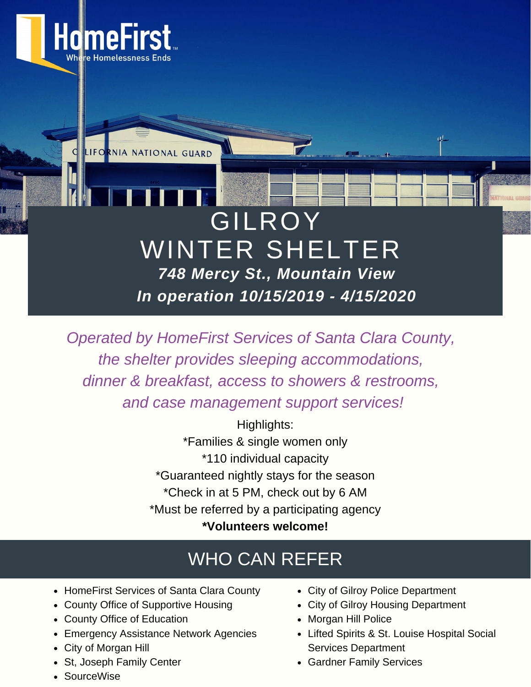

*Operated by HomeFirst Services of Santa Clara County, the shelter provides sleeping accommodations, dinner & breakfast, access to showers & restrooms, and case management support services!*

> Highlights: \*Families & single women only \*110 individual capacity \*Guaranteed nightly stays for the season \*Check in at 5 PM, check out by 6 AM \*Must be referred by a participating agency **\*Volunteers welcome!**

## WHO CAN REFER

- HomeFirst Services of Santa Clara County
- County Office of Supportive Housing
- County Office of Education
- Emergency Assistance Network Agencies
- City of Morgan Hill
- St, Joseph Family Center
- SourceWise
- City of Gilroy Police Department
- City of Gilroy Housing Department
- Morgan Hill Police
- Lifted Spirits & St. Louise Hospital Social Services Department
- Gardner Family Services